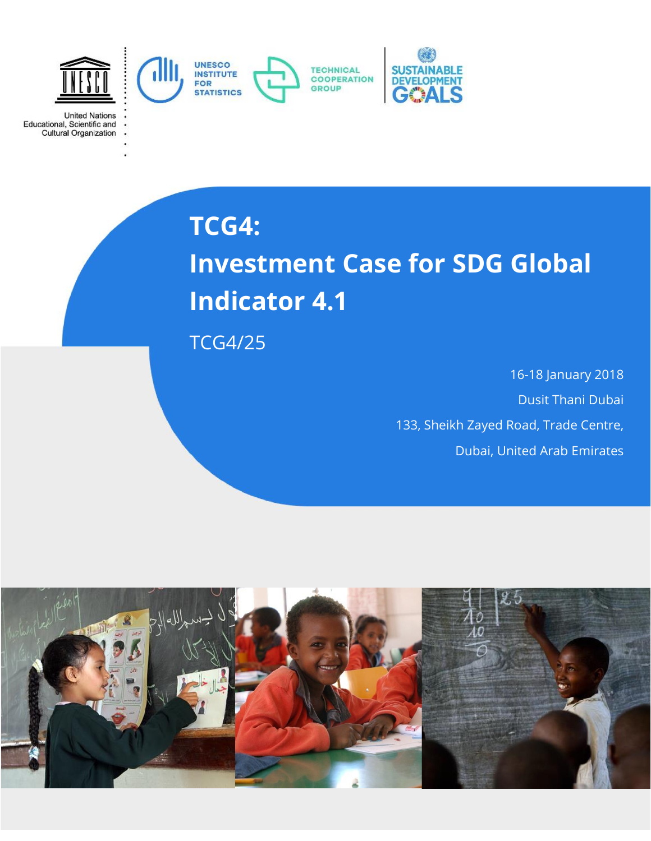

**United Nations** Educational, Scientific and<br>Cultural Organization

## **TCG4:**

# **Investment Case for SDG Global Indicator 4.1**

TCG4/25

16-18 January 2018 Dusit Thani Dubai 133, Sheikh Zayed Road, Trade Centre, Dubai, United Arab Emirates

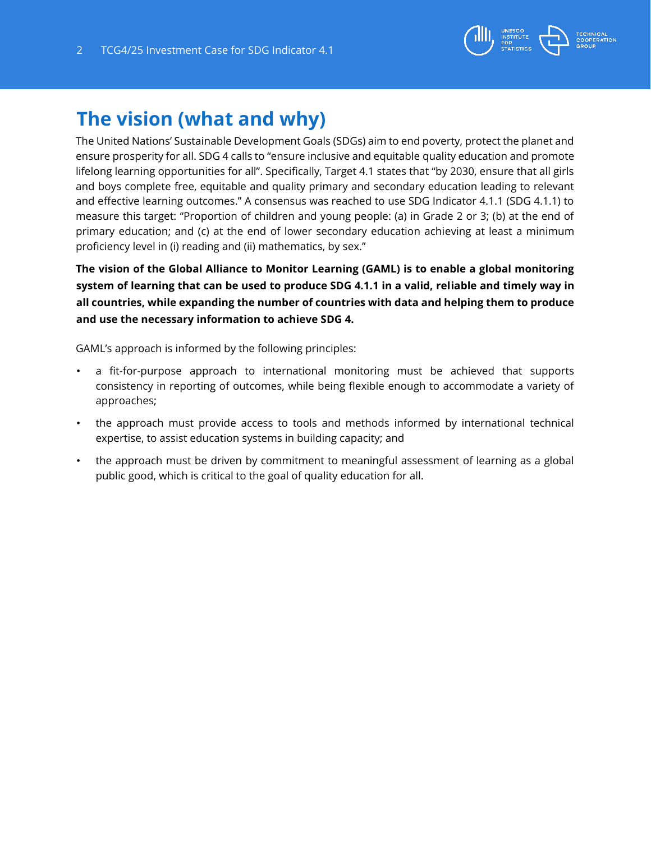

## **The vision (what and why)**

The United Nations' Sustainable Development Goals (SDGs) aim to end poverty, protect the planet and ensure prosperity for all. SDG 4 calls to "ensure inclusive and equitable quality education and promote lifelong learning opportunities for all". Specifically, Target 4.1 states that "by 2030, ensure that all girls and boys complete free, equitable and quality primary and secondary education leading to relevant and effective learning outcomes." A consensus was reached to use SDG Indicator 4.1.1 (SDG 4.1.1) to measure this target: "Proportion of children and young people: (a) in Grade 2 or 3; (b) at the end of primary education; and (c) at the end of lower secondary education achieving at least a minimum proficiency level in (i) reading and (ii) mathematics, by sex."

**The vision of the Global Alliance to Monitor Learning (GAML) is to enable a global monitoring system of learning that can be used to produce SDG 4.1.1 in a valid, reliable and timely way in all countries, while expanding the number of countries with data and helping them to produce and use the necessary information to achieve SDG 4.** 

GAML's approach is informed by the following principles:

- a fit-for-purpose approach to international monitoring must be achieved that supports consistency in reporting of outcomes, while being flexible enough to accommodate a variety of approaches;
- the approach must provide access to tools and methods informed by international technical expertise, to assist education systems in building capacity; and
- the approach must be driven by commitment to meaningful assessment of learning as a global public good, which is critical to the goal of quality education for all.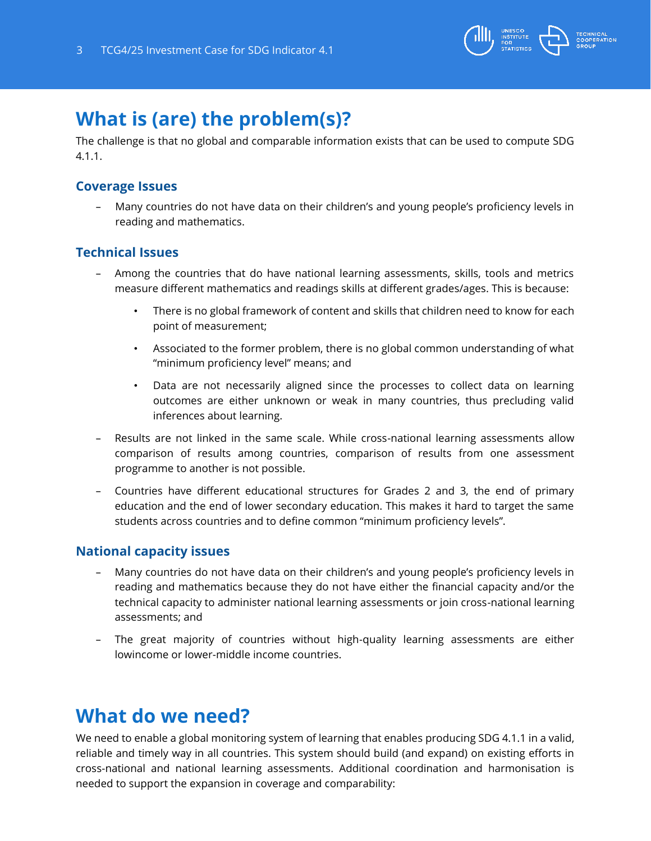

## **What is (are) the problem(s)?**

The challenge is that no global and comparable information exists that can be used to compute SDG 4.1.1.

#### **Coverage Issues**

– Many countries do not have data on their children's and young people's proficiency levels in reading and mathematics.

#### **Technical Issues**

- Among the countries that do have national learning assessments, skills, tools and metrics measure different mathematics and readings skills at different grades/ages. This is because:
	- There is no global framework of content and skills that children need to know for each point of measurement;
	- Associated to the former problem, there is no global common understanding of what "minimum proficiency level" means; and
	- Data are not necessarily aligned since the processes to collect data on learning outcomes are either unknown or weak in many countries, thus precluding valid inferences about learning.
- Results are not linked in the same scale. While cross-national learning assessments allow comparison of results among countries, comparison of results from one assessment programme to another is not possible.
- Countries have different educational structures for Grades 2 and 3, the end of primary education and the end of lower secondary education. This makes it hard to target the same students across countries and to define common "minimum proficiency levels".

#### **National capacity issues**

- Many countries do not have data on their children's and young people's proficiency levels in reading and mathematics because they do not have either the financial capacity and/or the technical capacity to administer national learning assessments or join cross-national learning assessments; and
- The great majority of countries without high-quality learning assessments are either lowincome or lower-middle income countries.

### **What do we need?**

We need to enable a global monitoring system of learning that enables producing SDG 4.1.1 in a valid, reliable and timely way in all countries. This system should build (and expand) on existing efforts in cross-national and national learning assessments. Additional coordination and harmonisation is needed to support the expansion in coverage and comparability: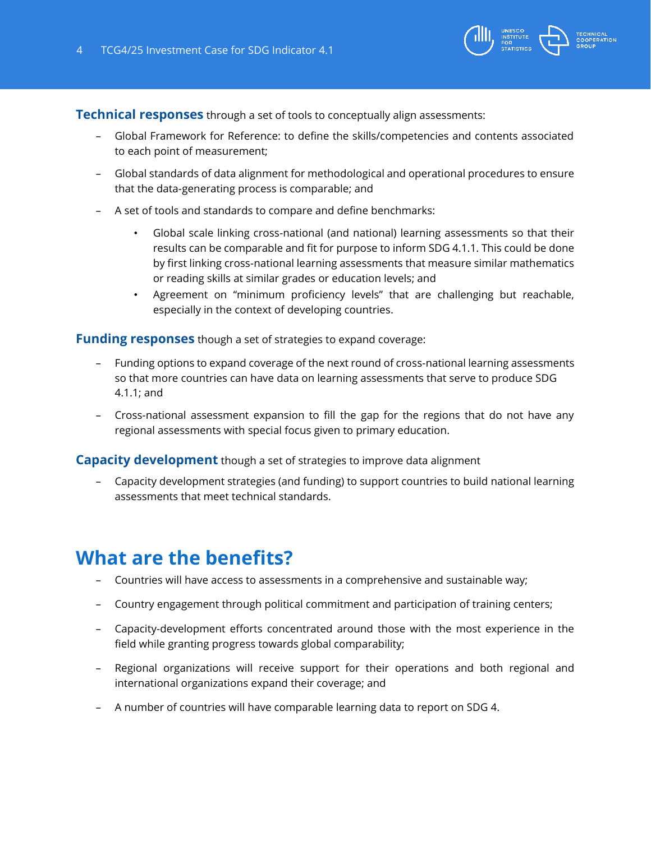

**Technical responses** through a set of tools to conceptually align assessments:

- Global Framework for Reference: to define the skills/competencies and contents associated to each point of measurement;
- Global standards of data alignment for methodological and operational procedures to ensure that the data-generating process is comparable; and
- A set of tools and standards to compare and define benchmarks:
	- Global scale linking cross-national (and national) learning assessments so that their results can be comparable and fit for purpose to inform SDG 4.1.1. This could be done by first linking cross-national learning assessments that measure similar mathematics or reading skills at similar grades or education levels; and
	- Agreement on "minimum proficiency levels" that are challenging but reachable, especially in the context of developing countries.

**Funding responses** though a set of strategies to expand coverage:

- Funding options to expand coverage of the next round of cross-national learning assessments so that more countries can have data on learning assessments that serve to produce SDG 4.1.1; and
- Cross-national assessment expansion to fill the gap for the regions that do not have any regional assessments with special focus given to primary education.

**Capacity development** though a set of strategies to improve data alignment

– Capacity development strategies (and funding) to support countries to build national learning assessments that meet technical standards.

### **What are the benefits?**

- Countries will have access to assessments in a comprehensive and sustainable way;
- Country engagement through political commitment and participation of training centers;
- Capacity-development efforts concentrated around those with the most experience in the field while granting progress towards global comparability;
- Regional organizations will receive support for their operations and both regional and international organizations expand their coverage; and
- A number of countries will have comparable learning data to report on SDG 4.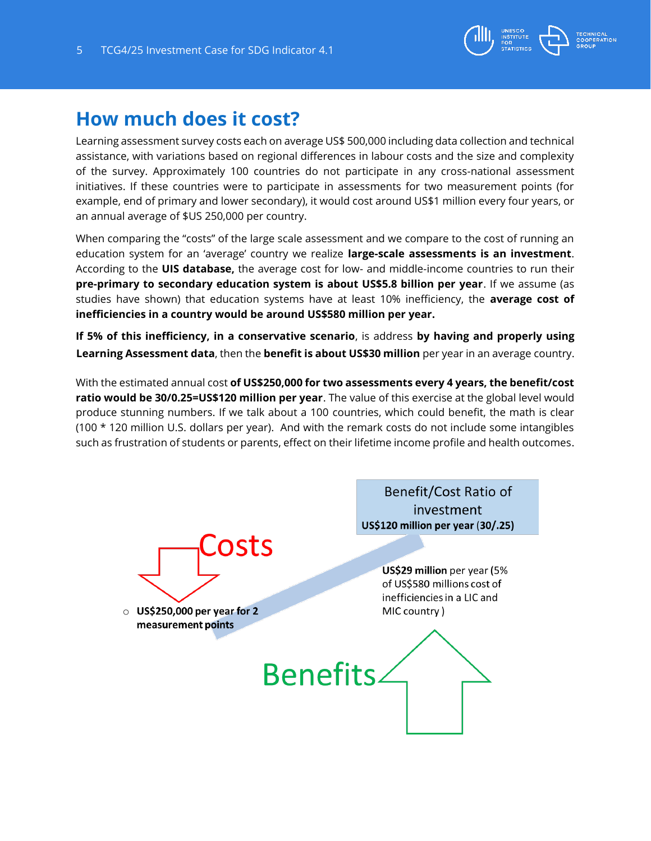

### **How much does it cost?**

Learning assessment survey costs each on average US\$ 500,000 including data collection and technical assistance, with variations based on regional differences in labour costs and the size and complexity of the survey. Approximately 100 countries do not participate in any cross-national assessment initiatives. If these countries were to participate in assessments for two measurement points (for example, end of primary and lower secondary), it would cost around US\$1 million every four years, or an annual average of \$US 250,000 per country.

When comparing the "costs" of the large scale assessment and we compare to the cost of running an education system for an 'average' country we realize **large-scale assessments is an investment**. According to the **UIS database,** the average cost for low- and middle-income countries to run their **pre-primary to secondary education system is about US\$5.8 billion per year**. If we assume (as studies have shown) that education systems have at least 10% inefficiency, the **average cost of inefficiencies in a country would be around US\$580 million per year.** 

**If 5% of this inefficiency, in a conservative scenario**, is address **by having and properly using Learning Assessment data**, then the **benefit is about US\$30 million** per year in an average country.

With the estimated annual cost **of US\$250,000 for two assessments every 4 years, the benefit/cost ratio would be 30/0.25=US\$120 million per year**. The value of this exercise at the global level would produce stunning numbers. If we talk about a 100 countries, which could benefit, the math is clear (100 \* 120 million U.S. dollars per year). And with the remark costs do not include some intangibles such as frustration of students or parents, effect on their lifetime income profile and health outcomes.

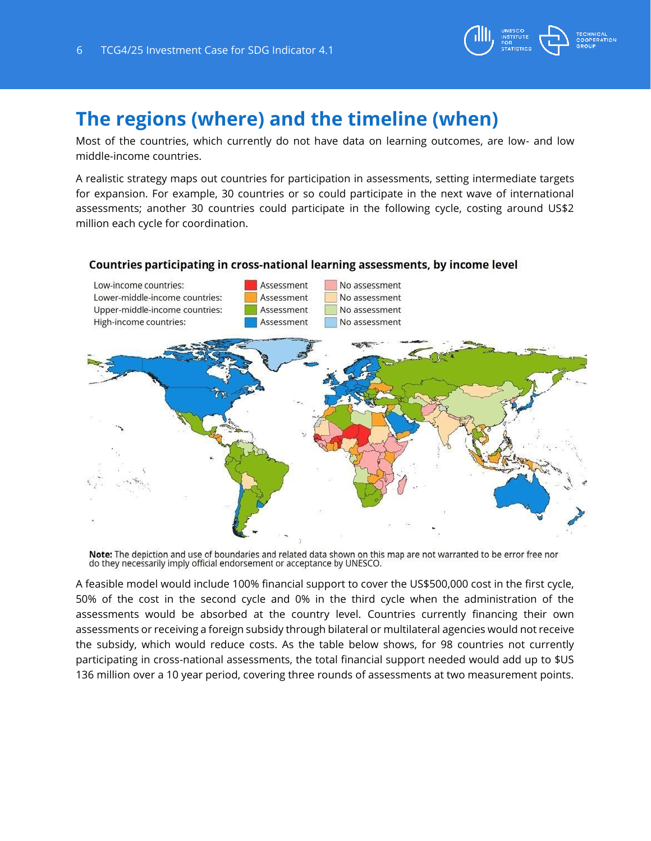

## **The regions (where) and the timeline (when)**

Most of the countries, which currently do not have data on learning outcomes, are low- and low middle-income countries.

A realistic strategy maps out countries for participation in assessments, setting intermediate targets for expansion. For example, 30 countries or so could participate in the next wave of international assessments; another 30 countries could participate in the following cycle, costing around US\$2 million each cycle for coordination.

#### Countries participating in cross-national learning assessments, by income level



Note: The depiction and use of boundaries and related data shown on this map are not warranted to be error free nor do they necessarily imply official endorsement or acceptance by UNESCO.

A feasible model would include 100% financial support to cover the US\$500,000 cost in the first cycle, 50% of the cost in the second cycle and 0% in the third cycle when the administration of the assessments would be absorbed at the country level. Countries currently financing their own assessments or receiving a foreign subsidy through bilateral or multilateral agencies would not receive the subsidy, which would reduce costs. As the table below shows, for 98 countries not currently participating in cross-national assessments, the total financial support needed would add up to \$US 136 million over a 10 year period, covering three rounds of assessments at two measurement points.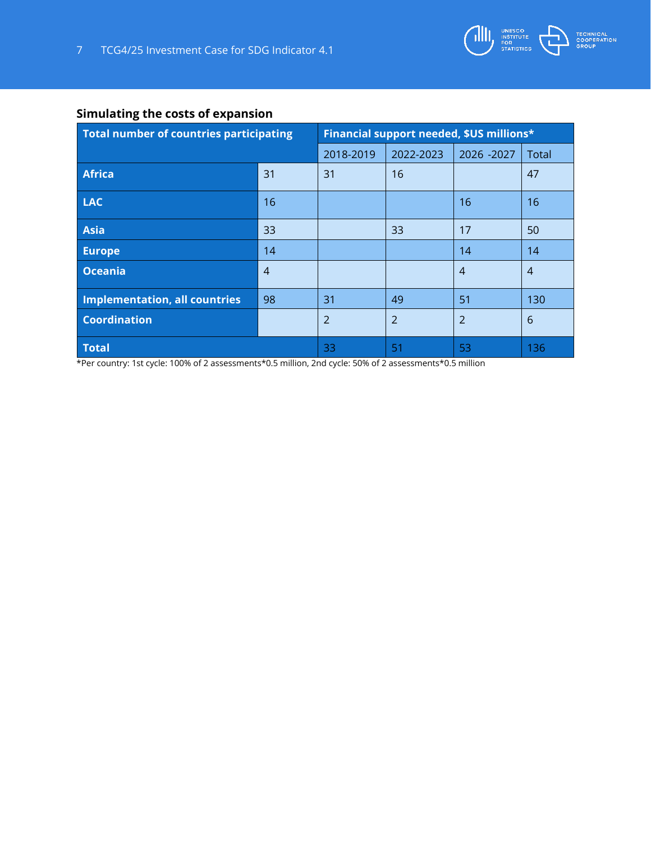

#### **Simulating the costs of expansion**

| Total number of countries participating |                | Financial support needed, \$US millions* |                |                |                |
|-----------------------------------------|----------------|------------------------------------------|----------------|----------------|----------------|
|                                         |                | 2018-2019                                | 2022-2023      | 2026 - 2027    | Total          |
| <b>Africa</b>                           | 31             | 31                                       | 16             |                | 47             |
| <b>LAC</b>                              | 16             |                                          |                | 16             | 16             |
| Asia                                    | 33             |                                          | 33             | 17             | 50             |
| <b>Europe</b>                           | 14             |                                          |                | 14             | 14             |
| Oceania                                 | $\overline{4}$ |                                          |                | $\overline{4}$ | $\overline{4}$ |
| Implementation, all countries           | 98             | 31                                       | 49             | 51             | 130            |
| <b>Coordination</b>                     |                | $\overline{2}$                           | $\overline{2}$ | $\overline{2}$ | 6              |
| <b>Total</b>                            |                | 33                                       | 51             | -53            | 136            |

\*Per country: 1st cycle: 100% of 2 assessments\*0.5 million, 2nd cycle: 50% of 2 assessments\*0.5 million